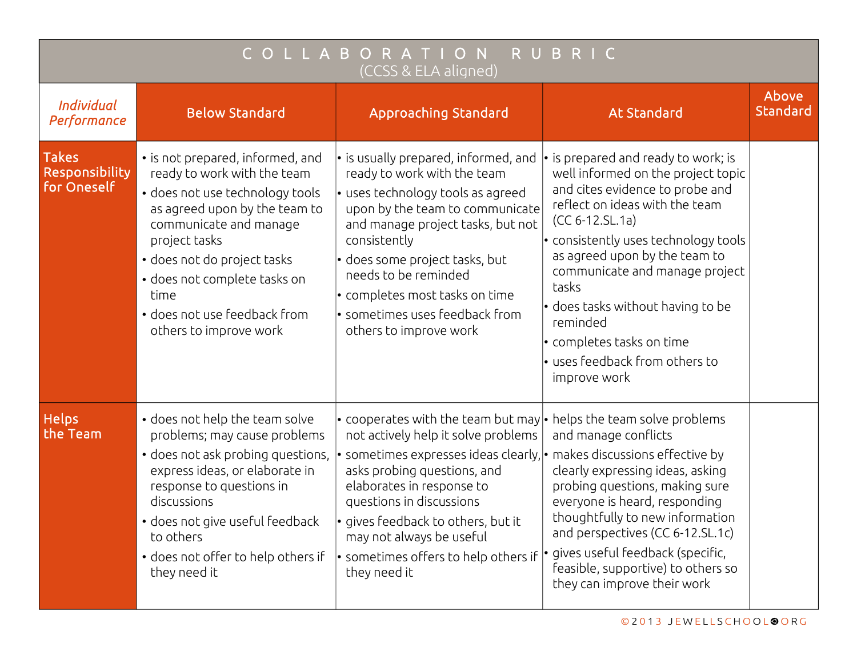| ORATION<br>RUBRIC<br>B<br>C O<br>(CCSS & ELA aligned) |                                                                                                                                                                                                                                                                                                                 |                                                                                                                                                                                                                                                                                                                                                                                                          |                                                                                                                                                                                                                                                                                                                                                                                                                                                 |                   |  |  |  |  |
|-------------------------------------------------------|-----------------------------------------------------------------------------------------------------------------------------------------------------------------------------------------------------------------------------------------------------------------------------------------------------------------|----------------------------------------------------------------------------------------------------------------------------------------------------------------------------------------------------------------------------------------------------------------------------------------------------------------------------------------------------------------------------------------------------------|-------------------------------------------------------------------------------------------------------------------------------------------------------------------------------------------------------------------------------------------------------------------------------------------------------------------------------------------------------------------------------------------------------------------------------------------------|-------------------|--|--|--|--|
| Individual<br>Performance                             | <b>Below Standard</b>                                                                                                                                                                                                                                                                                           | <b>Approaching Standard</b>                                                                                                                                                                                                                                                                                                                                                                              | <b>At Standard</b>                                                                                                                                                                                                                                                                                                                                                                                                                              | Above<br>Standard |  |  |  |  |
| <b>Takes</b><br>Responsibility<br>for Oneself         | • is not prepared, informed, and<br>ready to work with the team<br>• does not use technology tools<br>as agreed upon by the team to<br>communicate and manage<br>project tasks<br>· does not do project tasks<br>• does not complete tasks on<br>time<br>• does not use feedback from<br>others to improve work | $\cdot$ is usually prepared, informed, and<br>ready to work with the team<br>• uses technology tools as agreed<br>upon by the team to communicate<br>and manage project tasks, but not<br>consistently<br>$\cdot$ does some project tasks, but<br>needs to be reminded<br>$\cdot$ completes most tasks on time<br>$\left\vert \cdot\right\rangle$ sometimes uses feedback from<br>others to improve work | $\cdot$ is prepared and ready to work; is<br>well informed on the project topic<br>and cites evidence to probe and<br>reflect on ideas with the team<br>$(CC 6-12.SL.1a)$<br>$\cdot$ consistently uses technology tools<br>as agreed upon by the team to<br>communicate and manage project<br>tasks<br>$\cdot$ does tasks without having to be<br>reminded<br>$\cdot$ completes tasks on time<br>· uses feedback from others to<br>improve work |                   |  |  |  |  |
| <b>Helps</b><br>the Team                              | • does not help the team solve<br>problems; may cause problems<br>• does not ask probing questions,<br>express ideas, or elaborate in<br>response to questions in<br>discussions<br>• does not give useful feedback<br>to others<br>• does not offer to help others if<br>they need it                          | • cooperates with the team but may<br>not actively help it solve problems<br>$\bullet$ sometimes expresses ideas clearly, $ \bullet $ makes discussions effective by<br>asks probing questions, and<br>elaborates in response to<br>questions in discussions<br>· gives feedback to others, but it<br>may not always be useful<br>$\cdot$ sometimes offers to help others if<br>they need it             | $\cdot$ helps the team solve problems<br>and manage conflicts<br>clearly expressing ideas, asking<br>probing questions, making sure<br>everyone is heard, responding<br>thoughtfully to new information<br>and perspectives (CC 6-12.SL.1c)<br>gives useful feedback (specific,<br>feasible, supportive) to others so<br>they can improve their work                                                                                            |                   |  |  |  |  |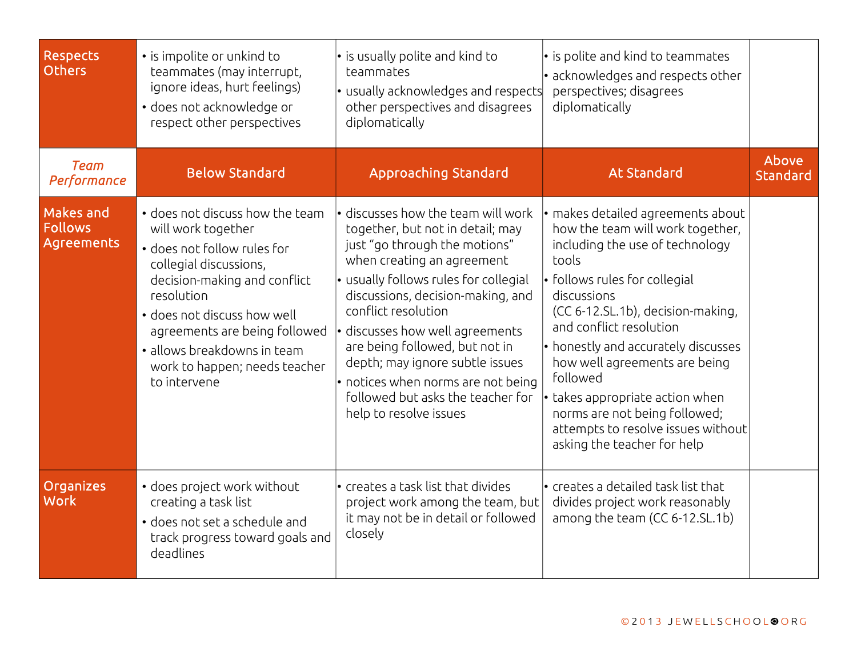| <b>Respects</b><br><b>Others</b>          | • is impolite or unkind to<br>teammates (may interrupt,<br>ignore ideas, hurt feelings)<br>• does not acknowledge or<br>respect other perspectives                                                                                                                                                           | • is usually polite and kind to<br>teammates<br>• usually acknowledges and respects<br>other perspectives and disagrees<br>diplomatically                                                                                                                                                                                                                                                                                                               | • is polite and kind to teammates<br>· acknowledges and respects other<br>perspectives; disagrees<br>diplomatically                                                                                                                                                                                                                                                                                                                                                |                   |
|-------------------------------------------|--------------------------------------------------------------------------------------------------------------------------------------------------------------------------------------------------------------------------------------------------------------------------------------------------------------|---------------------------------------------------------------------------------------------------------------------------------------------------------------------------------------------------------------------------------------------------------------------------------------------------------------------------------------------------------------------------------------------------------------------------------------------------------|--------------------------------------------------------------------------------------------------------------------------------------------------------------------------------------------------------------------------------------------------------------------------------------------------------------------------------------------------------------------------------------------------------------------------------------------------------------------|-------------------|
| <b>Team</b><br>Performance                | <b>Below Standard</b>                                                                                                                                                                                                                                                                                        | <b>Approaching Standard</b>                                                                                                                                                                                                                                                                                                                                                                                                                             | <b>At Standard</b>                                                                                                                                                                                                                                                                                                                                                                                                                                                 | Above<br>Standard |
| Makes and<br><b>Follows</b><br>Agreements | • does not discuss how the team<br>will work together<br>• does not follow rules for<br>collegial discussions,<br>decision-making and conflict<br>resolution<br>• does not discuss how well<br>agreements are being followed<br>· allows breakdowns in team<br>work to happen; needs teacher<br>to intervene | • discusses how the team will work<br>together, but not in detail; may<br>just "go through the motions"<br>when creating an agreement<br>• usually follows rules for collegial<br>discussions, decision-making, and<br>conflict resolution<br>· discusses how well agreements<br>are being followed, but not in<br>depth; may ignore subtle issues<br>• notices when norms are not being<br>followed but asks the teacher for<br>help to resolve issues | $\cdot$ makes detailed agreements about<br>how the team will work together,<br>including the use of technology<br>tools<br>• follows rules for collegial<br>discussions<br>(CC 6-12.SL.1b), decision-making,<br>and conflict resolution<br>• honestly and accurately discusses<br>how well agreements are being<br>followed<br>takes appropriate action when<br>norms are not being followed;<br>attempts to resolve issues without<br>asking the teacher for help |                   |
| Organizes<br><b>Work</b>                  | · does project work without<br>creating a task list<br>• does not set a schedule and<br>track progress toward goals and<br>deadlines                                                                                                                                                                         | • creates a task list that divides<br>project work among the team, but<br>it may not be in detail or followed<br>closely                                                                                                                                                                                                                                                                                                                                | • creates a detailed task list that<br>divides project work reasonably<br>among the team (CC 6-12.SL.1b)                                                                                                                                                                                                                                                                                                                                                           |                   |